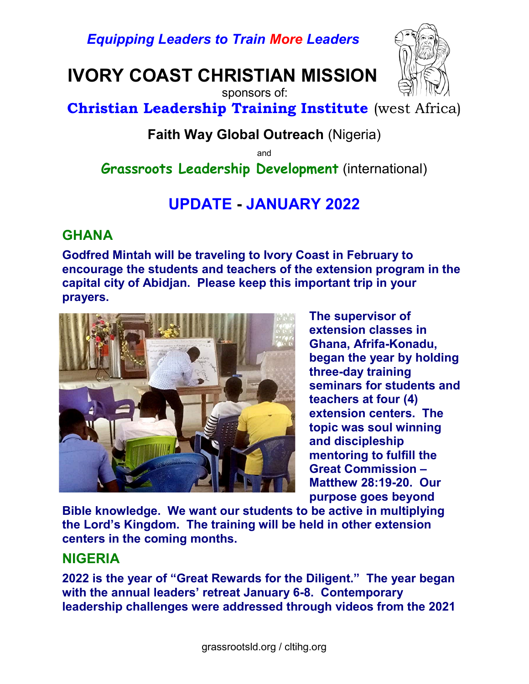Equipping Leaders to Train More Leaders

IVORY COAST CHRISTIAN MISSION



 sponsors of: Christian Leadership Training Institute (west Africa)

## Faith Way Global Outreach (Nigeria)

and

Grassroots Leadership Development (international)

# UPDATE - JANUARY 2022

## **GHANA**

Godfred Mintah will be traveling to Ivory Coast in February to encourage the students and teachers of the extension program in the capital city of Abidjan. Please keep this important trip in your prayers.



The supervisor of extension classes in Ghana, Afrifa-Konadu, began the year by holding three-day training seminars for students and teachers at four (4) extension centers. The topic was soul winning and discipleship mentoring to fulfill the Great Commission – Matthew 28:19-20. Our purpose goes beyond

Bible knowledge. We want our students to be active in multiplying the Lord's Kingdom. The training will be held in other extension centers in the coming months.

#### NIGERIA

2022 is the year of "Great Rewards for the Diligent." The year began with the annual leaders' retreat January 6-8. Contemporary leadership challenges were addressed through videos from the 2021